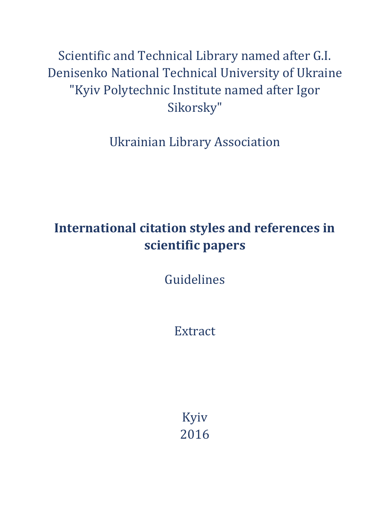Scientific and Technical Library named after G.I. Denisenko National Technical University of Ukraine "Kyiv Polytechnic Institute named after Igor Sikorsky"

Ukrainian Library Association

# **International citation styles and references in scientific papers**

Guidelines

Extract

Kyiv 2016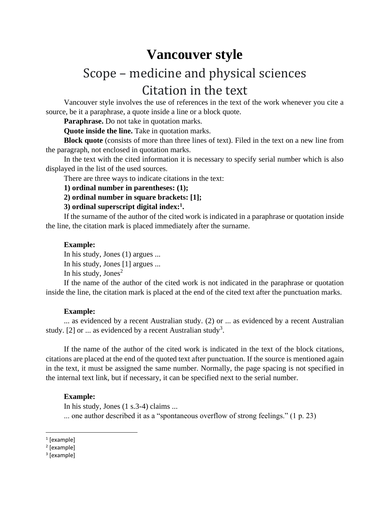## **Vancouver style**

# Scope – medicine and physical sciences Citation in the text

Vancouver style involves the use of references in the text of the work whenever you cite a source, be it a paraphrase, a quote inside a line or a block quote.

**Paraphrase.** Do not take in quotation marks.

**Quote inside the line.** Take in quotation marks.

**Block quote** (consists of more than three lines of text). Filed in the text on a new line from the paragraph, not enclosed in quotation marks.

In the text with the cited information it is necessary to specify serial number which is also displayed in the list of the used sources.

There are three ways to indicate citations in the text:

### **1) ordinal number in parentheses: (1);**

**2) ordinal number in square brackets: [1];**

### **3) ordinal superscript digital index:<sup>1</sup> .**

If the surname of the author of the cited work is indicated in a paraphrase or quotation inside the line, the citation mark is placed immediately after the surname.

### **Example:**

In his study, Jones (1) argues ... In his study, Jones [1] argues ...

In his study, Jones<sup>2</sup>

If the name of the author of the cited work is not indicated in the paraphrase or quotation inside the line, the citation mark is placed at the end of the cited text after the punctuation marks.

#### **Example:**

... as evidenced by a recent Australian study. (2) or ... as evidenced by a recent Australian study. [2] or ... as evidenced by a recent Australian study<sup>3</sup>.

If the name of the author of the cited work is indicated in the text of the block citations, citations are placed at the end of the quoted text after punctuation. If the source is mentioned again in the text, it must be assigned the same number. Normally, the page spacing is not specified in the internal text link, but if necessary, it can be specified next to the serial number.

### **Example:**

In his study, Jones (1 s.3-4) claims ... ... one author described it as a "spontaneous overflow of strong feelings." (1 p. 23)

<sup>1</sup> [example]

<sup>&</sup>lt;sup>2</sup> [example]

<sup>&</sup>lt;sup>3</sup> [example]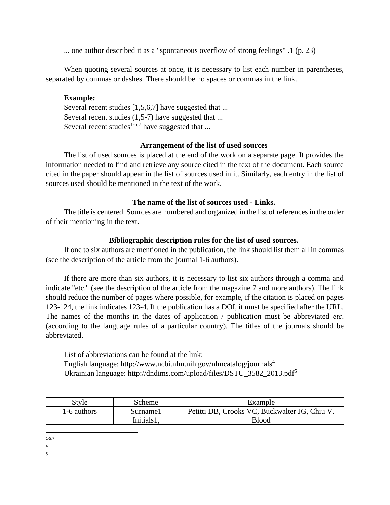... one author described it as a "spontaneous overflow of strong feelings" .1 (p. 23)

When quoting several sources at once, it is necessary to list each number in parentheses, separated by commas or dashes. There should be no spaces or commas in the link.

### **Example:**

Several recent studies [1,5,6,7] have suggested that ... Several recent studies (1,5-7) have suggested that ... Several recent studies<sup>1-5,7</sup> have suggested that ...

### **Arrangement of the list of used sources**

The list of used sources is placed at the end of the work on a separate page. It provides the information needed to find and retrieve any source cited in the text of the document. Each source cited in the paper should appear in the list of sources used in it. Similarly, each entry in the list of sources used should be mentioned in the text of the work.

### **The name of the list of sources used - Links.**

The title is centered. Sources are numbered and organized in the list of references in the order of their mentioning in the text.

### **Bibliographic description rules for the list of used sources.**

If one to six authors are mentioned in the publication, the link should list them all in commas (see the description of the article from the journal 1-6 authors).

If there are more than six authors, it is necessary to list six authors through a comma and indicate "etc." (see the description of the article from the magazine 7 and more authors). The link should reduce the number of pages where possible, for example, if the citation is placed on pages 123-124, the link indicates 123-4. If the publication has a DOI, it must be specified after the URL. The names of the months in the dates of application / publication must be abbreviated *etc*. (according to the language rules of a particular country). The titles of the journals should be abbreviated.

List of abbreviations can be found at the link: English language: http://www.ncbi.nlm.nih.gov/nlmcatalog/journals<sup>4</sup> Ukrainian language: http://dndims.com/upload/files/DSTU\_3582\_2013.pdf<sup>5</sup>

| Style       | Scheme     | Example                                       |
|-------------|------------|-----------------------------------------------|
| 1-6 authors | Surnamel   | Petitti DB, Crooks VC, Buckwalter JG, Chiu V. |
|             | Initials1. | <b>Blood</b>                                  |

<sup>1-5,7</sup>

<sup>4</sup>

<sup>5</sup>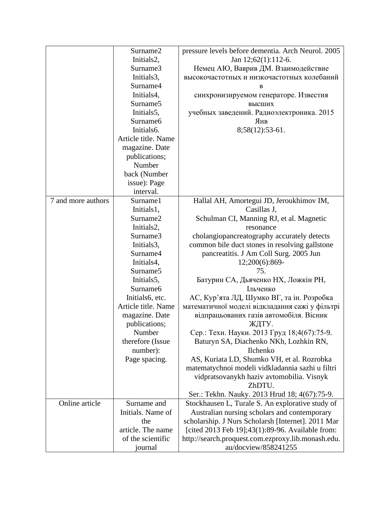|                    | Surname2            | pressure levels before dementia. Arch Neurol. 2005 |
|--------------------|---------------------|----------------------------------------------------|
|                    | Initials2,          | Jan 12;62(1):112-6.                                |
|                    | Surname3            | Немец АЮ, Ваврив ДМ. Взаимодействие                |
|                    | Initials3,          | высокочастотных и низкочастотных колебаний         |
|                    | Surname4            | B                                                  |
|                    | Initials4,          | синхронизируемом генераторе. Известия              |
|                    | Surname5            | высших                                             |
|                    | Initials5,          | учебных заведений. Радиоэлектроника. 2015          |
|                    | Surname6            | Янв                                                |
|                    | Initials6.          | 8;58(12):53-61.                                    |
|                    | Article title. Name |                                                    |
|                    | magazine. Date      |                                                    |
|                    | publications;       |                                                    |
|                    | Number              |                                                    |
|                    | back (Number        |                                                    |
|                    | issue): Page        |                                                    |
|                    | interval.           |                                                    |
| 7 and more authors | Surname1            | Hallal AH, Amortegui JD, Jeroukhimov IM,           |
|                    | Initials1,          | Casillas J,                                        |
|                    | Surname2            | Schulman CI, Manning RJ, et al. Magnetic           |
|                    | Initials2,          | resonance                                          |
|                    | Surname3            | cholangiopancreatography accurately detects        |
|                    | Initials3,          | common bile duct stones in resolving gallstone     |
|                    | Surname4            | pancreatitis. J Am Coll Surg. 2005 Jun             |
|                    | Initials4,          | 12;200(6):869-                                     |
|                    | Surname5            | 75.                                                |
|                    | Initials5,          | Батурин СА, Дьяченко НХ, Ложкін РН,                |
|                    | Surname6            | Ільченко                                           |
|                    | Initials6, etc.     | АС, Кур'ята ЛД, Шумко ВГ, та ін. Розробка          |
|                    | Article title. Name | математичної моделі відкладання сажі у фільтрі     |
|                    | magazine. Date      | відпрацьованих газів автомобіля. Вісник            |
|                    | publications;       | ЖДТУ.                                              |
|                    | Number              | Сер.: Техн. Науки. 2013 Груд 18;4(67):75-9.        |
|                    | therefore (Issue    | Baturyn SA, Diachenko NKh, Lozhkin RN,             |
|                    | number):            | Ilchenko                                           |
|                    | Page spacing.       | AS, Kuriata LD, Shumko VH, et al. Rozrobka         |
|                    |                     | matematychnoi modeli vidkladannia sazhi u filtri   |
|                    |                     | vidpratsovanykh haziv avtomobilia. Visnyk          |
|                    |                     | ZhDTU.                                             |
|                    |                     | Ser.: Tekhn. Nauky. 2013 Hrud 18; 4(67):75-9.      |
| Online article     | Surname and         | Stockhausen L, Turale S. An explorative study of   |
|                    | Initials. Name of   | Australian nursing scholars and contemporary       |
|                    | the                 | scholarship. J Nurs Scholarsh [Internet]. 2011 Mar |
|                    | article. The name   | [cited 2013 Feb 19];43(1):89-96. Available from:   |
|                    | of the scientific   | http://search.proquest.com.ezproxy.lib.monash.edu. |
|                    | journal             | au/docview/858241255                               |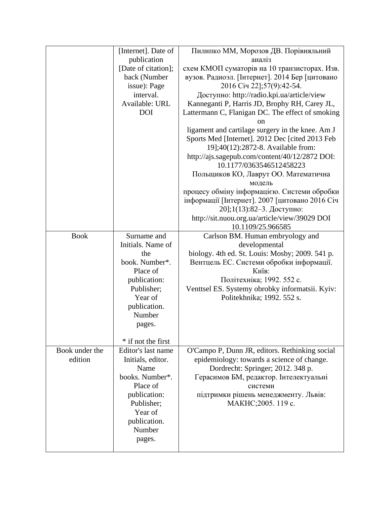|                | [Internet]. Date of | Пилипко ММ, Морозов ДВ. Порівняльний             |
|----------------|---------------------|--------------------------------------------------|
|                | publication         | аналіз                                           |
|                | [Date of citation]; | схем КМОП суматорів на 10 транзисторах. Изв.     |
|                | back (Number        | вузов. Радиоэл. [Інтернет]. 2014 Бер [цитовано   |
|                | issue): Page        | 2016 Січ 22];57(9):42-54.                        |
|                | interval.           | Доступно: http://radio.kpi.ua/article/view       |
|                | Available: URL      | Kanneganti P, Harris JD, Brophy RH, Carey JL,    |
|                |                     |                                                  |
|                | <b>DOI</b>          | Lattermann C, Flanigan DC. The effect of smoking |
|                |                     | on                                               |
|                |                     | ligament and cartilage surgery in the knee. Am J |
|                |                     | Sports Med [Internet]. 2012 Dec [cited 2013 Feb  |
|                |                     | 19];40(12):2872-8. Available from:               |
|                |                     | http://ajs.sagepub.com/content/40/12/2872 DOI:   |
|                |                     | 10.1177/0363546512458223                         |
|                |                     | Польщиков КО, Лаврут ОО. Математична             |
|                |                     | модель                                           |
|                |                     | процесу обміну інформацією. Системи обробки      |
|                |                     |                                                  |
|                |                     | інформації [Інтернет]. 2007 [цитовано 2016 Січ   |
|                |                     | 20];1(13):82-3. Доступно:                        |
|                |                     | http://sit.nuou.org.ua/article/view/39029 DOI    |
|                |                     | 10.1109/25.966585                                |
| <b>Book</b>    | Surname and         | Carlson BM. Human embryology and                 |
|                | Initials. Name of   | developmental                                    |
|                | the                 | biology. 4th ed. St. Louis: Mosby; 2009. 541 p.  |
|                | book. Number*.      | Вентцель ЕС. Системи обробки інформації.         |
|                | Place of            | Київ:                                            |
|                |                     | Політехніка; 1992. 552 с.                        |
|                | publication:        |                                                  |
|                | Publisher;          | Venttsel ES. Systemy obrobky informatsii. Kyiv:  |
|                | Year of             | Politekhnika; 1992. 552 s.                       |
|                | publication.        |                                                  |
|                | Number              |                                                  |
|                | pages.              |                                                  |
|                |                     |                                                  |
|                | * if not the first  |                                                  |
| Book under the | Editor's last name  | O'Campo P, Dunn JR, editors. Rethinking social   |
| edition        | Initials, editor.   | epidemiology: towards a science of change.       |
|                | Name                | Dordrecht: Springer; 2012. 348 p.                |
|                | books. Number*.     | Герасимов БМ, редактор. Інтелектуальні           |
|                |                     |                                                  |
|                | Place of            | системи                                          |
|                | publication:        | підтримки рішень менеджменту. Львів:             |
|                | Publisher;          | МАКНС; 2005. 119 с.                              |
|                | Year of             |                                                  |
|                | publication.        |                                                  |
|                | Number              |                                                  |
|                | pages.              |                                                  |
|                |                     |                                                  |
|                |                     |                                                  |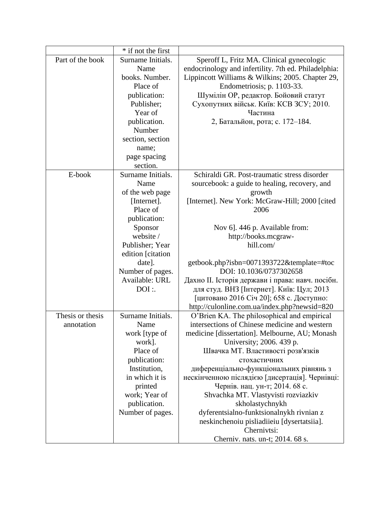|                  | * if not the first |                                                      |
|------------------|--------------------|------------------------------------------------------|
| Part of the book | Surname Initials.  | Speroff L, Fritz MA. Clinical gynecologic            |
|                  | Name               | endocrinology and infertility. 7th ed. Philadelphia: |
|                  | books. Number.     | Lippincott Williams & Wilkins; 2005. Chapter 29,     |
|                  | Place of           | Endometriosis; p. 1103-33.                           |
|                  | publication:       | Шумілін ОР, редактор. Бойовий статут                 |
|                  | Publisher;         | Сухопутних військ. Київ: КСВ ЗСУ; 2010.              |
|                  | Year of            | Частина                                              |
|                  | publication.       | 2, Батальйон, рота; с. 172-184.                      |
|                  | Number             |                                                      |
|                  | section, section   |                                                      |
|                  | name;              |                                                      |
|                  | page spacing       |                                                      |
|                  | section.           |                                                      |
| E-book           | Surname Initials.  | Schiraldi GR. Post-traumatic stress disorder         |
|                  | Name               | sourcebook: a guide to healing, recovery, and        |
|                  | of the web page    | growth                                               |
|                  | [Internet].        | [Internet]. New York: McGraw-Hill; 2000 [cited]      |
|                  | Place of           | 2006                                                 |
|                  | publication:       |                                                      |
|                  | Sponsor            | Nov 6]. 446 p. Available from:                       |
|                  | website /          | http://books.mcgraw-                                 |
|                  | Publisher; Year    | hill.com/                                            |
|                  | edition [citation  |                                                      |
|                  | date].             | getbook.php?isbn=0071393722&template=#toc            |
|                  | Number of pages.   | DOI: 10.1036/0737302658                              |
|                  | Available: URL     | Дахно II. Історія держави і права: навч. посібн.     |
|                  | DOI:               | для студ. ВНЗ [Інтернет]. Київ: Цул; 2013            |
|                  |                    | [цитовано 2016 Січ 20]; 658 с. Доступно:             |
|                  |                    | http://culonline.com.ua/index.php?newsid=820         |
| Thesis or thesis | Surname Initials.  | O'Brien KA. The philosophical and empirical          |
| annotation       | Name               | intersections of Chinese medicine and western        |
|                  | work [type of      | medicine [dissertation]. Melbourne, AU; Monash       |
|                  | work].             | University; 2006. 439 p.                             |
|                  | Place of           | Швачка МТ. Властивості розв'язків                    |
|                  | publication:       | стохастичних                                         |
|                  | Institution,       | диференціально-функціональних рівнянь з              |
|                  | in which it is     | нескінченною післядією [дисертація]. Чернівці:       |
|                  | printed            | Чернів. нац. ун-т; 2014. 68 с.                       |
|                  | work; Year of      | Shvachka MT. Vlastyvisti rozviazkiv                  |
|                  | publication.       | skholastychnykh                                      |
|                  | Number of pages.   | dyferentsialno-funktsionalnykh rivnian z             |
|                  |                    | neskinchenoiu pisliadiieiu [dysertatsiia].           |
|                  |                    | Chernivtsi:                                          |
|                  |                    | Cherniv. nats. un-t; 2014. 68 s.                     |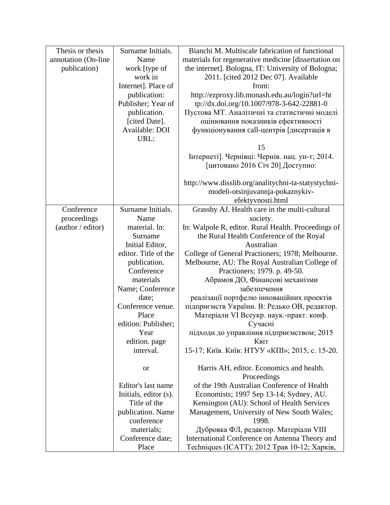| Thesis or thesis    | Surname Initials.     | Bianchi M. Multiscale fabrication of functional      |
|---------------------|-----------------------|------------------------------------------------------|
| annotation (On-line | Name                  | materials for regenerative medicine [dissertation on |
| publication)        | work [type of         | the internet]. Bologna, IT: University of Bologna;   |
|                     | work in               | 2011. [cited 2012 Dec 07]. Available                 |
|                     | Internet]. Place of   | from:                                                |
|                     | publication:          | http://ezproxy.lib.monash.edu.au/login?url=ht        |
|                     | Publisher; Year of    | tp://dx.doi.org/10.1007/978-3-642-22881-0            |
|                     | publication.          | Пустова МТ. Аналітичні та статистичні моделі         |
|                     | [cited Date].         | оцінювання показників ефективності                   |
|                     | Available: DOI        | функціонування call-центрів [дисертація в            |
|                     | URL:                  |                                                      |
|                     |                       | 15                                                   |
|                     |                       | Інтернеті]. Чернівці: Чернів. нац. ун-т; 2014.       |
|                     |                       | [цитовано 2016 Січ 20] Доступно:                     |
|                     |                       |                                                      |
|                     |                       | http://www.disslib.org/analitychni-ta-statystychni-  |
|                     |                       | modeli-otsinjuvannja-pokaznykiv-                     |
|                     |                       | efektyvnosti.html                                    |
| Conference          | Surname Initials.     | Grassby AJ. Health care in the multi-cultural        |
| proceedings         | Name                  | society.                                             |
| (author / editor)   | material. In:         | In: Walpole R, editor. Rural Health. Proceedings of  |
|                     | Surname               | the Rural Health Conference of the Royal             |
|                     | Initial Editor,       | Australian                                           |
|                     | editor. Title of the  | College of General Practioners; 1978; Melbourne.     |
|                     | publication.          | Melbourne, AU: The Royal Australian College of       |
|                     | Conference            | Practioners; 1979. p. 49-50.                         |
|                     | materials             | Абрамов ДО, Фінансові механізми                      |
|                     | Name; Conference      | забезпечення                                         |
|                     | date;                 | реалізації портфелю інноваційних проектів            |
|                     | Conference venue.     | підприємств України. В: Редько ОВ, редактор.         |
|                     | Place                 | Матеріали VI Всеукр. наук.-практ. конф.              |
|                     | edition: Publisher;   | Сучасні                                              |
|                     | Year                  | підходи до управління підприємством; 2015            |
|                     | edition. page         | Квіт                                                 |
|                     | interval.             | 15-17; Київ. Київ: НТУУ «КПІ»; 2015, с. 15-20.       |
|                     | <b>or</b>             | Harris AH, editor. Economics and health.             |
|                     |                       | Proceedings                                          |
|                     | Editor's last name    | of the 19th Australian Conference of Health          |
|                     | Initials, editor (s). | Economists; 1997 Sep 13-14; Sydney, AU.              |
|                     | Title of the          | Kensington (AU): School of Health Services           |
|                     | publication. Name     | Management, University of New South Wales;           |
|                     | conference            | 1998.                                                |
|                     | materials;            | Дубровка ФЛ, редактор. Матеріали VIII                |
|                     | Conference date;      | International Conference on Antenna Theory and       |
|                     | Place                 | Techniques (ICATT); 2012 Трав 10-12; Харків,         |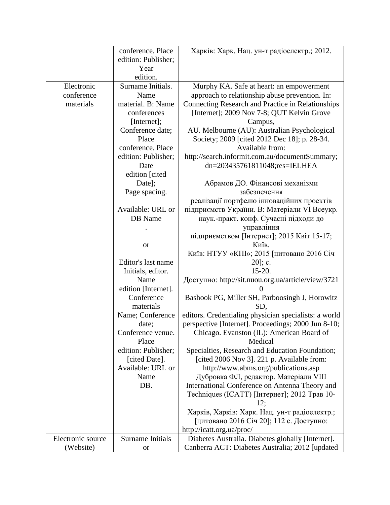|                   | conference. Place                  | Харків: Харк. Нац. ун-т радіоелектр.; 2012.                                             |
|-------------------|------------------------------------|-----------------------------------------------------------------------------------------|
|                   | edition: Publisher;                |                                                                                         |
|                   | Year                               |                                                                                         |
|                   | edition.                           |                                                                                         |
| Electronic        | Surname Initials.                  | Murphy KA. Safe at heart: an empowerment                                                |
| conference        | Name                               | approach to relationship abuse prevention. In:                                          |
| materials         | material. B: Name                  | Connecting Research and Practice in Relationships                                       |
|                   | conferences                        | [Internet]; 2009 Nov 7-8; QUT Kelvin Grove                                              |
|                   | [Internet];                        | Campus,                                                                                 |
|                   | Conference date;                   | AU. Melbourne (AU): Australian Psychological                                            |
|                   | Place                              | Society; 2009 [cited 2012 Dec 18]; p. 28-34.                                            |
|                   | conference. Place                  | Available from:                                                                         |
|                   | edition: Publisher;                | http://search.informit.com.au/documentSummary;                                          |
|                   | Date                               | dn=203435761811048;res=IELHEA                                                           |
|                   | edition [cited                     |                                                                                         |
|                   | Date];                             | Абрамов ДО. Фінансові механізми                                                         |
|                   | Page spacing.                      | забезпечення                                                                            |
|                   |                                    | реалізації портфелю інноваційних проектів                                               |
|                   | Available: URL or                  | підприємств України. В: Матеріали VI Всеукр.                                            |
|                   | DB Name                            | наук.-практ. конф. Сучасні підходи до                                                   |
|                   |                                    | управління                                                                              |
|                   |                                    | підприємством [Інтернет]; 2015 Квіт 15-17;                                              |
|                   | <b>or</b>                          | Київ.                                                                                   |
|                   |                                    | Київ: НТУУ «КПІ»; 2015 [цитовано 2016 Січ                                               |
|                   | Editor's last name                 | $20$ ]; c.                                                                              |
|                   | Initials, editor.                  | $15-20.$                                                                                |
|                   | Name                               | Доступно: http://sit.nuou.org.ua/article/view/3721                                      |
|                   | edition [Internet].                | $\theta$                                                                                |
|                   | Conference                         | Bashook PG, Miller SH, Parboosingh J, Horowitz                                          |
|                   | materials                          | SD,                                                                                     |
|                   | Name; Conference                   | editors. Credentialing physician specialists: a world                                   |
|                   | date;                              | perspective [Internet]. Proceedings; 2000 Jun 8-10;                                     |
|                   | Conference venue.                  | Chicago. Evanston (IL): American Board of                                               |
|                   | Place                              | Medical                                                                                 |
|                   | edition: Publisher;                | Specialties, Research and Education Foundation;                                         |
|                   | [cited Date].<br>Available: URL or | [cited 2006 Nov 3]. 221 p. Available from:                                              |
|                   |                                    | http://www.abms.org/publications.asp                                                    |
|                   | Name<br>DB.                        | Дубровка ФЛ, редактор. Матеріали VIII<br>International Conference on Antenna Theory and |
|                   |                                    | Techniques (ICATT) [Інтернет]; 2012 Трав 10-                                            |
|                   |                                    | 12:                                                                                     |
|                   |                                    | Харків, Харків: Харк. Нац. ун-т радіоелектр.;                                           |
|                   |                                    | [цитовано 2016 Січ 20]; 112 с. Доступно:                                                |
|                   |                                    | http://icatt.org.ua/proc/                                                               |
| Electronic source | Surname Initials                   | Diabetes Australia. Diabetes globally [Internet].                                       |
| (Website)         | <b>or</b>                          | Canberra ACT: Diabetes Australia; 2012 [updated]                                        |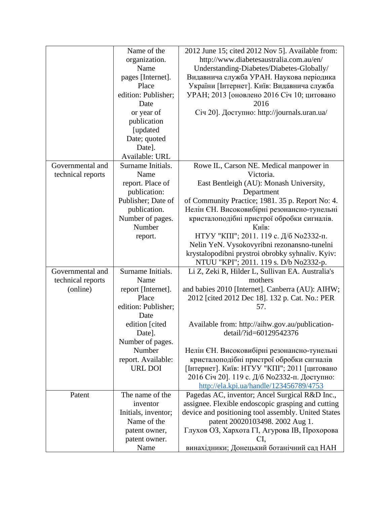|                   | Name of the         | 2012 June 15; cited 2012 Nov 5]. Available from:    |
|-------------------|---------------------|-----------------------------------------------------|
|                   | organization.       | http://www.diabetesaustralia.com.au/en/             |
|                   | Name                | Understanding-Diabetes/Diabetes-Globally/           |
|                   | pages [Internet].   | Видавнича служба УРАН. Наукова періодика            |
|                   | Place               | України [Інтернет]. Київ: Видавнича служба          |
|                   | edition: Publisher; | УРАН; 2013 [оновлено 2016 Січ 10; цитовано          |
|                   | Date                | 2016                                                |
|                   | or year of          | Січ 20]. Доступно: http://journals.uran.ua/         |
|                   | publication         |                                                     |
|                   | [updated]           |                                                     |
|                   | Date; quoted        |                                                     |
|                   | Date].              |                                                     |
|                   | Available: URL      |                                                     |
| Governmental and  | Surname Initials.   | Rowe IL, Carson NE. Medical manpower in             |
| technical reports | Name                | Victoria.                                           |
|                   | report. Place of    | East Bentleigh (AU): Monash University,             |
|                   | publication:        | Department                                          |
|                   | Publisher; Date of  | of Community Practice; 1981. 35 p. Report No: 4.    |
|                   | publication.        | Нелін ЄН. Високовибірні резонансно-тунельні         |
|                   | Number of pages.    | кристалоподібні пристрої обробки сигналів.          |
|                   | Number              | Київ:                                               |
|                   | report.             | НТУУ "КПІ"; 2011. 119 с. Д/б №02332-п.              |
|                   |                     | Nelin YeN. Vysokovyribni rezonansno-tunelni         |
|                   |                     | krystalopodibni prystroi obrobky syhnaliv. Kyiv:    |
|                   |                     | NTUU "KPI"; 2011. 119 s. D/b No2332-p.              |
| Governmental and  | Surname Initials.   | Li Z, Zeki R, Hilder L, Sullivan EA. Australia's    |
| technical reports | Name                | mothers                                             |
| (online)          | report [Internet].  | and babies 2010 [Internet]. Canberra (AU): AIHW;    |
|                   | Place               | 2012 [cited 2012 Dec 18]. 132 p. Cat. No.: PER      |
|                   | edition: Publisher; | 57.                                                 |
|                   | Date                |                                                     |
|                   | edition [cited      | Available from: http://aihw.gov.au/publication-     |
|                   | Date].              | detail/?id=60129542376                              |
|                   | Number of pages.    |                                                     |
|                   | Number              | Нелін ЄН. Високовибірні резонансно-тунельні         |
|                   | report. Available:  | кристалоподібні пристрої обробки сигналів           |
|                   | URL DOI             | [Інтернет]. Київ: НТУУ "КПІ"; 2011 [цитовано        |
|                   |                     | 2016 Січ 20]. 119 с. Д/б No2332-п. Доступно:        |
|                   |                     | http://ela.kpi.ua/handle/123456789/4753             |
| Patent            | The name of the     | Pagedas AC, inventor; Ancel Surgical R&D Inc.,      |
|                   | inventor            | assignee. Flexible endoscopic grasping and cutting  |
|                   | Initials, inventor; | device and positioning tool assembly. United States |
|                   | Name of the         | patent 20020103498. 2002 Aug 1.                     |
|                   | patent owner,       | Глухов ОЗ, Хархота ГI, Агурова IB, Прохорова        |
|                   | patent owner.       | CI,                                                 |
|                   | Name                | винахідники; Донецький ботанічний сад НАН           |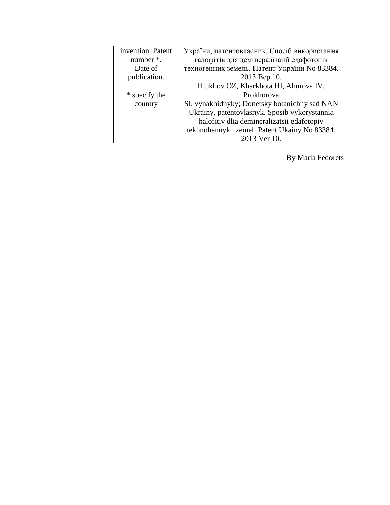| invention. Patent | України, патентовласник. Спосіб використання  |
|-------------------|-----------------------------------------------|
| number *.         | галофітів для демінералізації едафотопів      |
| Date of           | техногенних земель. Патент України No 83384.  |
| publication.      | 2013 Bep 10.                                  |
|                   | Hlukhov OZ, Kharkhota HI, Ahurova IV,         |
| * specify the     | Prokhorova                                    |
| country           | SI, vynakhidnyky; Donetsky botanichny sad NAN |
|                   | Ukrainy, patentovlasnyk. Sposib vykorystannia |
|                   | halofitiv dlia demineralizatsii edafotopiv    |
|                   | tekhnohennykh zemel. Patent Ukainy No 83384.  |
|                   | 2013 Ver 10.                                  |

By Maria Fedorets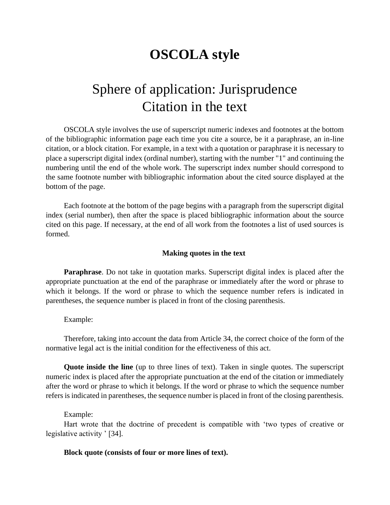## **OSCOLA style**

# Sphere of application: Jurisprudence Citation in the text

OSCOLA style involves the use of superscript numeric indexes and footnotes at the bottom of the bibliographic information page each time you cite a source, be it a paraphrase, an in-line citation, or a block citation. For example, in a text with a quotation or paraphrase it is necessary to place a superscript digital index (ordinal number), starting with the number "1" and continuing the numbering until the end of the whole work. The superscript index number should correspond to the same footnote number with bibliographic information about the cited source displayed at the bottom of the page.

Each footnote at the bottom of the page begins with a paragraph from the superscript digital index (serial number), then after the space is placed bibliographic information about the source cited on this page. If necessary, at the end of all work from the footnotes a list of used sources is formed.

### **Making quotes in the text**

**Paraphrase**. Do not take in quotation marks. Superscript digital index is placed after the appropriate punctuation at the end of the paraphrase or immediately after the word or phrase to which it belongs. If the word or phrase to which the sequence number refers is indicated in parentheses, the sequence number is placed in front of the closing parenthesis.

Example:

Therefore, taking into account the data from Article 34, the correct choice of the form of the normative legal act is the initial condition for the effectiveness of this act.

**Quote inside the line** (up to three lines of text). Taken in single quotes. The superscript numeric index is placed after the appropriate punctuation at the end of the citation or immediately after the word or phrase to which it belongs. If the word or phrase to which the sequence number refers is indicated in parentheses, the sequence number is placed in front of the closing parenthesis.

#### Example:

Hart wrote that the doctrine of precedent is compatible with 'two types of creative or legislative activity ' [34].

### **Block quote (consists of four or more lines of text).**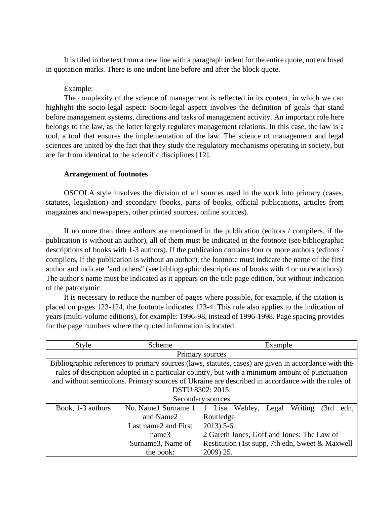It is filed in the text from a new line with a paragraph indent for the entire quote, not enclosed in quotation marks. There is one indent line before and after the block quote.

### Example:

The complexity of the science of management is reflected in its content, in which we can highlight the socio-legal aspect: Socio-legal aspect involves the definition of goals that stand before management systems, directions and tasks of management activity. An important role here belongs to the law, as the latter largely regulates management relations. In this case, the law is a tool, a tool that ensures the implementation of the law. The science of management and legal sciences are united by the fact that they study the regulatory mechanisms operating in society, but are far from identical to the scientific disciplines [12].

## **Arrangement of footnotes**

OSCOLA style involves the division of all sources used in the work into primary (cases, statutes, legislation) and secondary (books, parts of books, official publications, articles from magazines and newspapers, other printed sources, online sources).

If no more than three authors are mentioned in the publication (editors / compilers, if the publication is without an author), all of them must be indicated in the footnote (see bibliographic descriptions of books with 1-3 authors). If the publication contains four or more authors (editors / compilers, if the publication is without an author), the footnote must indicate the name of the first author and indicate "and others" (see bibliographic descriptions of books with 4 or more authors). The author's name must be indicated as it appears on the title page edition, but without indication of the patronymic.

It is necessary to reduce the number of pages where possible, for example, if the citation is placed on pages 123-124, the footnote indicates 123-4. This rule also applies to the indication of years (multi-volume editions), for example: 1996-98, instead of 1996-1998. Page spacing provides for the page numbers where the quoted information is located.

| Style             | Scheme                                                                                               | Example                                                                                          |  |  |
|-------------------|------------------------------------------------------------------------------------------------------|--------------------------------------------------------------------------------------------------|--|--|
|                   |                                                                                                      | Primary sources                                                                                  |  |  |
|                   | Bibliographic references to primary sources (laws, statutes, cases) are given in accordance with the |                                                                                                  |  |  |
|                   |                                                                                                      | rules of description adopted in a particular country, but with a minimum amount of punctuation   |  |  |
|                   |                                                                                                      | and without semicolons. Primary sources of Ukraine are described in accordance with the rules of |  |  |
|                   | DSTU 8302: 2015.                                                                                     |                                                                                                  |  |  |
| Secondary sources |                                                                                                      |                                                                                                  |  |  |
| Book, 1-3 authors | No. Name1 Surname 1                                                                                  | 1 Lisa Webley, Legal Writing<br>(3rd)<br>edn.                                                    |  |  |
|                   | and Name2                                                                                            | Routledge                                                                                        |  |  |
|                   | Last name 2 and First                                                                                | $2013$ ) 5-6.                                                                                    |  |  |
|                   | name3                                                                                                | 2 Gareth Jones, Goff and Jones: The Law of                                                       |  |  |
|                   | Surname3, Name of                                                                                    | Restitution (1st supp, 7th edn, Sweet & Maxwell                                                  |  |  |
|                   | the book:                                                                                            | 2009) 25.                                                                                        |  |  |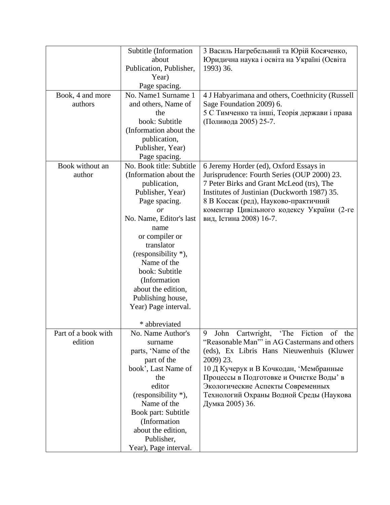|                     | Subtitle (Information    | 3 Василь Нагребельний та Юрій Косяченко,         |
|---------------------|--------------------------|--------------------------------------------------|
|                     | about                    | Юридична наука і освіта на Україні (Освіта       |
|                     | Publication, Publisher,  | 1993) 36.                                        |
|                     | Year)                    |                                                  |
|                     | Page spacing.            |                                                  |
| Book, 4 and more    | No. Name1 Surname 1      | 4 J Habyarimana and others, Coethnicity (Russell |
| authors             | and others, Name of      | Sage Foundation 2009) 6.                         |
|                     | the                      | 5 С Тимченко та інші, Теорія держави і права     |
|                     | book: Subtitle           | (Поливода 2005) 25-7.                            |
|                     | (Information about the   |                                                  |
|                     | publication,             |                                                  |
|                     | Publisher, Year)         |                                                  |
|                     | Page spacing.            |                                                  |
| Book without an     | No. Book title: Subtitle | 6 Jeremy Horder (ed), Oxford Essays in           |
| author              | (Information about the   | Jurisprudence: Fourth Series (OUP 2000) 23.      |
|                     | publication,             | 7 Peter Birks and Grant McLeod (trs), The        |
|                     | Publisher, Year)         | Institutes of Justinian (Duckworth 1987) 35.     |
|                     | Page spacing.            | 8 В Коссак (ред), Науково-практичний             |
|                     | or                       | коментар Цивільного кодексу України (2-ге        |
|                     | No. Name, Editor's last  | вид, Істина 2008) 16-7.                          |
|                     | name                     |                                                  |
|                     | or compiler or           |                                                  |
|                     | translator               |                                                  |
|                     | (responsibility *),      |                                                  |
|                     | Name of the              |                                                  |
|                     | book: Subtitle           |                                                  |
|                     | (Information             |                                                  |
|                     | about the edition,       |                                                  |
|                     | Publishing house,        |                                                  |
|                     | Year) Page interval.     |                                                  |
|                     |                          |                                                  |
|                     | * abbreviated            |                                                  |
| Part of a book with | No. Name Author's        | 9<br>John Cartwright, 'The Fiction of the        |
| edition             | surname                  | "Reasonable Man" in AG Castermans and others     |
|                     | parts, 'Name of the      | (eds), Ex Libris Hans Nieuwenhuis (Kluwer        |
|                     | part of the              | 2009) 23.                                        |
|                     | book', Last Name of      | 10 Д Кучерук и В Кочкодан, 'Мембранные           |
|                     | the                      | Процессы в Подготовке и Очистке Воды' в          |
|                     | editor                   | Экологические Аспекты Современных                |
|                     | (responsibility *),      | Технологий Охраны Водной Среды (Наукова          |
|                     | Name of the              | Думка 2005) 36.                                  |
|                     | Book part: Subtitle      |                                                  |
|                     | (Information             |                                                  |
|                     | about the edition,       |                                                  |
|                     | Publisher,               |                                                  |
|                     | Year), Page interval.    |                                                  |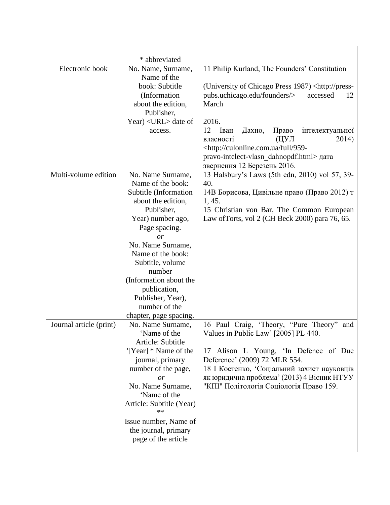|                         | * abbreviated                                                                                                                                                                                                                                                                                                                                  |                                                                                                                                                                                                                                                                                                                                                                                                                         |
|-------------------------|------------------------------------------------------------------------------------------------------------------------------------------------------------------------------------------------------------------------------------------------------------------------------------------------------------------------------------------------|-------------------------------------------------------------------------------------------------------------------------------------------------------------------------------------------------------------------------------------------------------------------------------------------------------------------------------------------------------------------------------------------------------------------------|
| Electronic book         | No. Name, Surname,<br>Name of the<br>book: Subtitle<br>(Information)<br>about the edition,<br>Publisher,<br>Year) <url> date of<br/>access.</url>                                                                                                                                                                                              | 11 Philip Kurland, The Founders' Constitution<br>(University of Chicago Press 1987) <http: press-<br="">pubs.uchicago.edu/founders/&gt;<br/>accessed<br/>12<br/>March<br/>2016.<br/>12<br/>Іван<br/>Право<br/>Дахно,<br/>інтелектуальної<br/>(ЦУЛ<br/>2014)<br/>власності<br/><http: 959-<br="" culonline.com.ua="" full="">pravo-intelect-vlasn dahnopdf.html&gt; дата<br/>звернення 12 Березень 2016.</http:></http:> |
| Multi-volume edition    | No. Name Surname,<br>Name of the book:<br>Subtitle (Information<br>about the edition,<br>Publisher,<br>Year) number ago,<br>Page spacing.<br>$\overline{or}$<br>No. Name Surname,<br>Name of the book:<br>Subtitle, volume<br>number<br>(Information about the<br>publication,<br>Publisher, Year),<br>number of the<br>chapter, page spacing. | 13 Halsbury's Laws (5th edn, 2010) vol 57, 39-<br>40.<br>14В Борисова, Цивільне право (Право 2012) т<br>1,45.<br>15 Christian von Bar, The Common European<br>Law of Torts, vol 2 (CH Beck 2000) para 76, 65.                                                                                                                                                                                                           |
| Journal article (print) | No. Name Surname,<br>Name of the<br>Article: Subtitle<br>'[Year] * Name of the<br>journal, primary<br>number of the page,<br><i>or</i><br>No. Name Surname,<br>'Name of the<br>Article: Subtitle (Year)<br>**<br>Issue number, Name of<br>the journal, primary<br>page of the article                                                          | 16 Paul Craig, 'Theory, "Pure Theory"<br>and<br>Values in Public Law' [2005] PL 440.<br>17 Alison L Young, 'In Defence of Due<br>Deference' (2009) 72 MLR 554.<br>18 І Костенко, Соціальний захист науковців<br>як юридична проблема' (2013) 4 Вісник НТУУ<br>"КПІ" Політологія Соціологія Право 159.                                                                                                                   |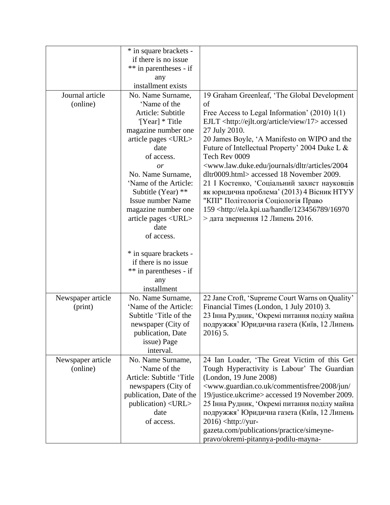|                   | * in square brackets -    |                                                                                      |
|-------------------|---------------------------|--------------------------------------------------------------------------------------|
|                   | if there is no issue      |                                                                                      |
|                   | ** in parentheses - if    |                                                                                      |
|                   | any                       |                                                                                      |
|                   | installment exists        |                                                                                      |
| Journal article   | No. Name Surname,         | 19 Graham Greenleaf, 'The Global Development                                         |
| (online)          | 'Name of the              | of                                                                                   |
|                   | Article: Subtitle         | Free Access to Legal Information' (2010) 1(1)                                        |
|                   | '[Year] * Title           | EJLT <http: 17="" article="" ejlt.org="" view=""> accessed</http:>                   |
|                   | magazine number one       | 27 July 2010.                                                                        |
|                   | article pages <url></url> | 20 James Boyle, 'A Manifesto on WIPO and the                                         |
|                   | date                      | Future of Intellectual Property' 2004 Duke L &                                       |
|                   | of access.                | Tech Rev 0009                                                                        |
|                   | or                        | <www.law.duke.edu 2004<="" articles="" dltr="" journals="" td=""></www.law.duke.edu> |
|                   | No. Name Surname,         | dltr0009.html> accessed 18 November 2009.                                            |
|                   | 'Name of the Article:     | 21 І Костенко, Соціальний захист науковців                                           |
|                   | Subtitle (Year) **        | як юридична проблема' (2013) 4 Вісник НТУУ                                           |
|                   | <b>Issue number Name</b>  | "КПІ" Політологія Соціологія Право                                                   |
|                   | magazine number one       | 159 <http: 123456789="" 16970<="" ela.kpi.ua="" handle="" td=""></http:>             |
|                   | article pages <url></url> | $>$ дата звернення 12 Липень 2016.                                                   |
|                   | date                      |                                                                                      |
|                   | of access.                |                                                                                      |
|                   |                           |                                                                                      |
|                   | * in square brackets -    |                                                                                      |
|                   | if there is no issue      |                                                                                      |
|                   | ** in parentheses - if    |                                                                                      |
|                   | any                       |                                                                                      |
|                   | installment               |                                                                                      |
| Newspaper article | No. Name Surname,         | 22 Jane Croft, 'Supreme Court Warns on Quality'                                      |
| (print)           | 'Name of the Article:     | Financial Times (London, 1 July 2010) 3.                                             |
|                   | Subtitle 'Title of the    | 23 Інна Рудник, Окремі питання поділу майна                                          |
|                   | newspaper (City of        | подружжя' Юридична газета (Київ, 12 Липень                                           |
|                   | publication, Date         | 2016) 5.                                                                             |
|                   | issue) Page               |                                                                                      |
|                   | interval.                 |                                                                                      |
| Newspaper article | No. Name Surname,         | 24 Ian Loader, 'The Great Victim of this Get                                         |
| (online)          | 'Name of the              | Tough Hyperactivity is Labour' The Guardian                                          |
|                   | Article: Subtitle 'Title  | (London, 19 June 2008)                                                               |
|                   | newspapers (City of       | <www.guardian.co.uk 2008="" <="" commentisfree="" jun="" td=""></www.guardian.co.uk> |
|                   | publication, Date of the  | 19/justice.ukcrime>accessed 19 November 2009.                                        |
|                   | publication) < URL>       | 25 Інна Рудник, Окремі питання поділу майна                                          |
|                   | date                      | подружжя' Юридична газета (Київ, 12 Липень                                           |
|                   | of access.                | $2016$ ) <http: td="" yur-<=""></http:>                                              |
|                   |                           | gazeta.com/publications/practice/simeyne-                                            |
|                   |                           | pravo/okremi-pitannya-podilu-mayna-                                                  |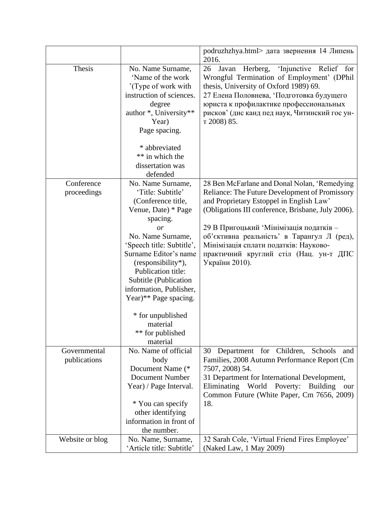|                              |                                                                                                                                                                                                                                                                                                                                                                                         | podruzhzhya.html> дата звернення 14 Липень<br>2016.                                                                                                                                                                                                                                                                                                                                            |
|------------------------------|-----------------------------------------------------------------------------------------------------------------------------------------------------------------------------------------------------------------------------------------------------------------------------------------------------------------------------------------------------------------------------------------|------------------------------------------------------------------------------------------------------------------------------------------------------------------------------------------------------------------------------------------------------------------------------------------------------------------------------------------------------------------------------------------------|
| Thesis                       | No. Name Surname,<br>'Name of the work<br>'(Type of work with)<br>instruction of sciences.<br>degree<br>author *, University**<br>Year)<br>Page spacing.<br>* abbreviated<br>** in which the<br>dissertation was<br>defended                                                                                                                                                            | 'Injunctive Relief for<br>26<br>Javan<br>Herberg,<br>Wrongful Termination of Employment' (DPhil<br>thesis, University of Oxford 1989) 69.<br>27 Елена Половнева, 'Подготовка будущего<br>юриста к профилактике профессиональных<br>рисков' (дис канд пед наук, Читинский гос ун-<br>т 2008) 85.                                                                                                |
| Conference<br>proceedings    | No. Name Surname,<br>'Title: Subtitle'<br>(Conference title,<br>Venue, Date) * Page<br>spacing.<br>$\overline{or}$<br>No. Name Surname,<br>'Speech title: Subtitle',<br>Surname Editor's name<br>(responsibility*),<br>Publication title:<br>Subtitle (Publication<br>information, Publisher,<br>Year)** Page spacing.<br>* for unpublished<br>material<br>** for published<br>material | 28 Ben McFarlane and Donal Nolan, 'Remedying<br>Reliance: The Future Development of Promissory<br>and Proprietary Estoppel in English Law'<br>(Obligations III conference, Brisbane, July 2006).<br>29 В Пригоцький 'Мінімізація податків -<br>об'єктивна реальність' в Тарангул Л (ред),<br>Мінімізація сплати податків: Науково-<br>практичний круглий стіл (Нац. ун-т ДПС<br>України 2010). |
| Governmental<br>publications | No. Name of official<br>body<br>Document Name (*<br><b>Document Number</b><br>Year) / Page Interval.<br>* You can specify<br>other identifying<br>information in front of<br>the number.                                                                                                                                                                                                | Department for Children, Schools<br>30<br>and<br>Families, 2008 Autumn Performance Report (Cm<br>7507, 2008) 54.<br>31 Department for International Development,<br>Eliminating<br>World<br>Poverty:<br><b>Building</b><br>our<br>Common Future (White Paper, Cm 7656, 2009)<br>18.                                                                                                            |
| Website or blog              | No. Name, Surname,<br>'Article title: Subtitle'                                                                                                                                                                                                                                                                                                                                         | 32 Sarah Cole, 'Virtual Friend Fires Employee'<br>(Naked Law, 1 May 2009)                                                                                                                                                                                                                                                                                                                      |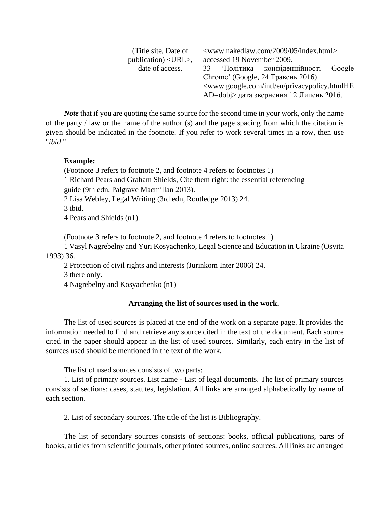| (Title site, Date of                       | <www.nakedlaw.com 05="" 2009="" index.html=""></www.nakedlaw.com>              |
|--------------------------------------------|--------------------------------------------------------------------------------|
| publication) $\langle \text{URL}\rangle$ , | accessed 19 November 2009.                                                     |
| date of access.                            | 33 Політика конфіденційності<br>Google                                         |
|                                            | Chrome' (Google, 24 Травень 2016)                                              |
|                                            | <www.google.com en="" intl="" privacypolicy.htmlhe<="" td=""></www.google.com> |
|                                            | AD=dobj> дата звернення 12 Липень 2016.                                        |

*Note* that if you are quoting the same source for the second time in your work, only the name of the party / law or the name of the author (s) and the page spacing from which the citation is given should be indicated in the footnote. If you refer to work several times in a row, then use "*ibid*."

## **Example:**

(Footnote 3 refers to footnote 2, and footnote 4 refers to footnotes 1)

1 Richard Pears and Graham Shields, Cite them right: the essential referencing

guide (9th edn, Palgrave Macmillan 2013).

2 Lisa Webley, Legal Writing (3rd edn, Routledge 2013) 24.

3 ibid.

4 Pears and Shields (n1).

(Footnote 3 refers to footnote 2, and footnote 4 refers to footnotes 1)

1 Vasyl Nagrebelny and Yuri Kosyachenko, Legal Science and Education in Ukraine (Osvita 1993) 36.

2 Protection of civil rights and interests (Jurinkom Inter 2006) 24.

3 there only.

4 Nagrebelny and Kosyachenko (n1)

## **Arranging the list of sources used in the work.**

The list of used sources is placed at the end of the work on a separate page. It provides the information needed to find and retrieve any source cited in the text of the document. Each source cited in the paper should appear in the list of used sources. Similarly, each entry in the list of sources used should be mentioned in the text of the work.

The list of used sources consists of two parts:

1. List of primary sources. List name - List of legal documents. The list of primary sources consists of sections: cases, statutes, legislation. All links are arranged alphabetically by name of each section.

2. List of secondary sources. The title of the list is Bibliography.

The list of secondary sources consists of sections: books, official publications, parts of books, articles from scientific journals, other printed sources, online sources. All links are arranged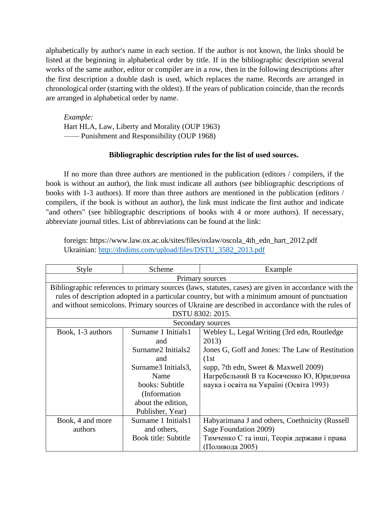alphabetically by author's name in each section. If the author is not known, the links should be listed at the beginning in alphabetical order by title. If in the bibliographic description several works of the same author, editor or compiler are in a row, then in the following descriptions after the first description a double dash is used, which replaces the name. Records are arranged in chronological order (starting with the oldest). If the years of publication coincide, than the records are arranged in alphabetical order by name.

*Example:* Hart HLA, Law, Liberty and Morality (OUP 1963) —— Punishment and Responsibility (OUP 1968)

## **Bibliographic description rules for the list of used sources.**

If no more than three authors are mentioned in the publication (editors / compilers, if the book is without an author), the link must indicate all authors (see bibliographic descriptions of books with 1-3 authors). If more than three authors are mentioned in the publication (editors / compilers, if the book is without an author), the link must indicate the first author and indicate "and others" (see bibliographic descriptions of books with 4 or more authors). If necessary, abbreviate journal titles. List of abbreviations can be found at the link:

foreign: https://www.law.ox.ac.uk/sites/files/oxlaw/oscola\_4th\_edn\_hart\_2012.pdf Ukrainian: [http://dndims.com/upload/files/DSTU\\_3582\\_2013.pdf](http://dndims.com/upload/files/DSTU_3582_2013.pdf)

| <b>Style</b>                                                                                         | Scheme               | Example                                         |
|------------------------------------------------------------------------------------------------------|----------------------|-------------------------------------------------|
| Primary sources                                                                                      |                      |                                                 |
| Bibliographic references to primary sources (laws, statutes, cases) are given in accordance with the |                      |                                                 |
| rules of description adopted in a particular country, but with a minimum amount of punctuation       |                      |                                                 |
| and without semicolons. Primary sources of Ukraine are described in accordance with the rules of     |                      |                                                 |
| DSTU 8302: 2015.                                                                                     |                      |                                                 |
| Secondary sources                                                                                    |                      |                                                 |
| Book, 1-3 authors                                                                                    | Surname 1 Initials1  | Webley L, Legal Writing (3rd edn, Routledge     |
|                                                                                                      | and                  | 2013)                                           |
|                                                                                                      | Surname2 Initials2   | Jones G, Goff and Jones: The Law of Restitution |
|                                                                                                      | and                  | (1st)                                           |
|                                                                                                      | Surname3 Initials3,  | supp, 7th edn, Sweet $&$ Maxwell 2009)          |
|                                                                                                      | Name                 | Нагребельний В та Косяченко Ю, Юридична         |
|                                                                                                      | books: Subtitle      | наука і освіта на Україні (Освіта 1993)         |
|                                                                                                      | (Information)        |                                                 |
|                                                                                                      | about the edition,   |                                                 |
|                                                                                                      | Publisher, Year)     |                                                 |
| Book, 4 and more                                                                                     | Surname 1 Initials1  | Habyarimana J and others, Coethnicity (Russell  |
| authors                                                                                              | and others,          | Sage Foundation 2009)                           |
|                                                                                                      | Book title: Subtitle | Тимченко С та інші, Теорія держави і права      |
|                                                                                                      |                      | (Поливода 2005)                                 |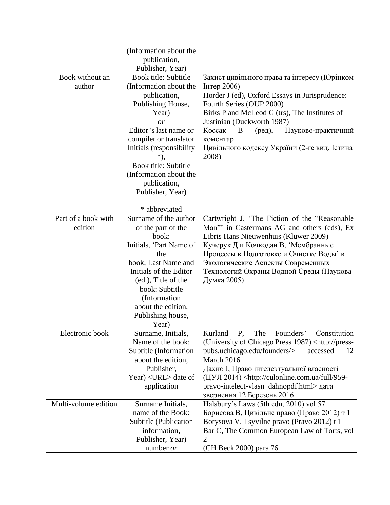|                                | (Information about the<br>publication,<br>Publisher, Year)                                                                                                                                                                                                                             |                                                                                                                                                                                                                                                                                                                                                 |
|--------------------------------|----------------------------------------------------------------------------------------------------------------------------------------------------------------------------------------------------------------------------------------------------------------------------------------|-------------------------------------------------------------------------------------------------------------------------------------------------------------------------------------------------------------------------------------------------------------------------------------------------------------------------------------------------|
| Book without an<br>author      | <b>Book title: Subtitle</b><br>(Information about the<br>publication,<br>Publishing House,<br>Year)<br>or<br>Editor 's last name or<br>compiler or translator<br>Initials (responsibility<br>*),<br>Book title: Subtitle<br>(Information about the<br>publication,<br>Publisher, Year) | Захист цивільного права та інтересу (Юрінком<br>Інтер 2006)<br>Horder J (ed), Oxford Essays in Jurisprudence:<br>Fourth Series (OUP 2000)<br>Birks P and McLeod G (trs), The Institutes of<br>Justinian (Duckworth 1987)<br>Коссак<br>B<br>Науково-практичний<br>$(peД)$ ,<br>коментар<br>Цивільного кодексу України (2-ге вид, Істина<br>2008) |
|                                | * abbreviated                                                                                                                                                                                                                                                                          |                                                                                                                                                                                                                                                                                                                                                 |
| Part of a book with<br>edition | Surname of the author<br>of the part of the<br>book:<br>Initials, 'Part Name of<br>the<br>book, Last Name and<br>Initials of the Editor<br>(ed.), Title of the<br>book: Subtitle<br>(Information<br>about the edition,<br>Publishing house,<br>Year)                                   | Cartwright J, 'The Fiction of the "Reasonable<br>Man" in Castermans AG and others (eds), Ex<br>Libris Hans Nieuwenhuis (Kluwer 2009)<br>Кучерук Д и Кочкодан В, 'Мембранные<br>Процессы в Подготовке и Очистке Воды' в<br>Экологические Аспекты Современных<br>Технологий Охраны Водной Среды (Наукова<br>Думка 2005)                           |
| Electronic book                | Surname, Initials,<br>Name of the book:<br>Subtitle (Information<br>about the edition,<br>Publisher,<br>Year) <url> date of<br/>application</url>                                                                                                                                      | Kurland P, The<br>Founders'<br>Constitution<br>(University of Chicago Press 1987) <http: press-<br="">pubs.uchicago.edu/founders/&gt;<br/>accessed<br/>12<br/>March 2016<br/>Дахно I, Право інтелектуальної власності<br/>(ЦУЛ 2014) <http: 959-<br="" culonline.com.ua="" full="">pravo-intelect-vlasn dahnopdf.html&gt; дата</http:></http:>  |
| Multi-volume edition           | Surname Initials,<br>name of the Book:<br>Subtitle (Publication<br>information,<br>Publisher, Year)<br>number or                                                                                                                                                                       | звернення 12 Березень 2016<br>Halsbury's Laws (5th edn, 2010) vol 57<br>Борисова В, Цивільне право (Право 2012) т 1<br>Borysova V. Tsyvilne pravo (Pravo 2012) t 1<br>Bar C, The Common European Law of Torts, vol<br>2<br>(CH Beck 2000) para 76                                                                                               |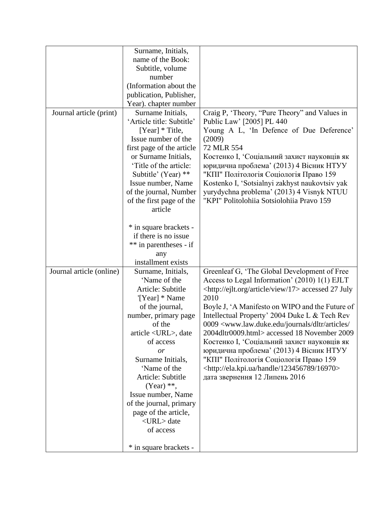|                          | Surname, Initials,                                                                                                                                                                                                                                                                    |                                                                                                                                                                                                                                                                                                                                                                                                                                |
|--------------------------|---------------------------------------------------------------------------------------------------------------------------------------------------------------------------------------------------------------------------------------------------------------------------------------|--------------------------------------------------------------------------------------------------------------------------------------------------------------------------------------------------------------------------------------------------------------------------------------------------------------------------------------------------------------------------------------------------------------------------------|
|                          | name of the Book:                                                                                                                                                                                                                                                                     |                                                                                                                                                                                                                                                                                                                                                                                                                                |
|                          | Subtitle, volume                                                                                                                                                                                                                                                                      |                                                                                                                                                                                                                                                                                                                                                                                                                                |
|                          | number                                                                                                                                                                                                                                                                                |                                                                                                                                                                                                                                                                                                                                                                                                                                |
|                          | (Information about the                                                                                                                                                                                                                                                                |                                                                                                                                                                                                                                                                                                                                                                                                                                |
|                          | publication, Publisher,                                                                                                                                                                                                                                                               |                                                                                                                                                                                                                                                                                                                                                                                                                                |
|                          | Year). chapter number                                                                                                                                                                                                                                                                 |                                                                                                                                                                                                                                                                                                                                                                                                                                |
| Journal article (print)  | Surname Initials,<br>'Article title: Subtitle'<br>[Year] * Title,<br>Issue number of the<br>first page of the article<br>or Surname Initials,<br>'Title of the article:<br>Subtitle' (Year) **<br>Issue number, Name<br>of the journal, Number<br>of the first page of the<br>article | Craig P, 'Theory, "Pure Theory" and Values in<br>Public Law' [2005] PL 440<br>Young A L, 'In Defence of Due Deference'<br>(2009)<br>72 MLR 554<br>Костенко I, 'Соціальний захист науковців як<br>юридична проблема' (2013) 4 Вісник НТУУ<br>"КПІ" Політологія Соціологія Право 159<br>Kostenko I, 'Sotsialnyi zakhyst naukovtsiv yak<br>yurydychna problema' (2013) 4 Visnyk NTUU<br>"KPI" Politolohiia Sotsiolohiia Pravo 159 |
|                          | * in square brackets -<br>if there is no issue<br>** in parentheses - if<br>any<br>installment exists                                                                                                                                                                                 |                                                                                                                                                                                                                                                                                                                                                                                                                                |
| Journal article (online) | Surname, Initials,                                                                                                                                                                                                                                                                    | Greenleaf G, 'The Global Development of Free                                                                                                                                                                                                                                                                                                                                                                                   |
|                          | 'Name of the                                                                                                                                                                                                                                                                          | Access to Legal Information' (2010) 1(1) EJLT                                                                                                                                                                                                                                                                                                                                                                                  |
|                          | Article: Subtitle                                                                                                                                                                                                                                                                     | <http: 17="" article="" ejlt.org="" view=""> accessed 27 July</http:>                                                                                                                                                                                                                                                                                                                                                          |
|                          | '[Year] * Name                                                                                                                                                                                                                                                                        | 2010                                                                                                                                                                                                                                                                                                                                                                                                                           |
|                          | of the journal,                                                                                                                                                                                                                                                                       | Boyle J, 'A Manifesto on WIPO and the Future of                                                                                                                                                                                                                                                                                                                                                                                |
|                          | number, primary page                                                                                                                                                                                                                                                                  | Intellectual Property' 2004 Duke L & Tech Rev                                                                                                                                                                                                                                                                                                                                                                                  |
|                          | of the                                                                                                                                                                                                                                                                                | 0009 <www.law.duke.edu <="" articles="" dltr="" journals="" th=""></www.law.duke.edu>                                                                                                                                                                                                                                                                                                                                          |
|                          | article <url>, date</url>                                                                                                                                                                                                                                                             | 2004dltr0009.html> accessed 18 November 2009                                                                                                                                                                                                                                                                                                                                                                                   |
|                          | of access                                                                                                                                                                                                                                                                             | Костенко I, 'Соціальний захист науковців як                                                                                                                                                                                                                                                                                                                                                                                    |
|                          | or                                                                                                                                                                                                                                                                                    | юридична проблема' (2013) 4 Вісник НТУУ                                                                                                                                                                                                                                                                                                                                                                                        |
|                          | Surname Initials,                                                                                                                                                                                                                                                                     | "КПІ" Політологія Соціологія Право 159                                                                                                                                                                                                                                                                                                                                                                                         |
|                          | 'Name of the                                                                                                                                                                                                                                                                          | <http: 123456789="" 16970="" ela.kpi.ua="" handle=""></http:>                                                                                                                                                                                                                                                                                                                                                                  |
|                          | Article: Subtitle                                                                                                                                                                                                                                                                     | дата звернення 12 Липень 2016                                                                                                                                                                                                                                                                                                                                                                                                  |
|                          | $(Year)$ **,                                                                                                                                                                                                                                                                          |                                                                                                                                                                                                                                                                                                                                                                                                                                |
|                          | Issue number, Name                                                                                                                                                                                                                                                                    |                                                                                                                                                                                                                                                                                                                                                                                                                                |
|                          | of the journal, primary                                                                                                                                                                                                                                                               |                                                                                                                                                                                                                                                                                                                                                                                                                                |
|                          | page of the article,                                                                                                                                                                                                                                                                  |                                                                                                                                                                                                                                                                                                                                                                                                                                |
|                          | <url> date</url>                                                                                                                                                                                                                                                                      |                                                                                                                                                                                                                                                                                                                                                                                                                                |
|                          | of access                                                                                                                                                                                                                                                                             |                                                                                                                                                                                                                                                                                                                                                                                                                                |
|                          | * in square brackets -                                                                                                                                                                                                                                                                |                                                                                                                                                                                                                                                                                                                                                                                                                                |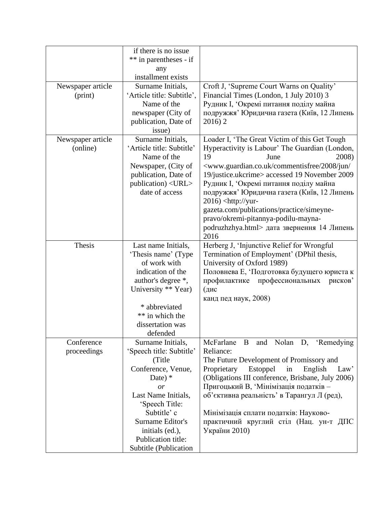|                   | if there is no issue       |                                                                                      |
|-------------------|----------------------------|--------------------------------------------------------------------------------------|
|                   | ** in parentheses - if     |                                                                                      |
|                   | any                        |                                                                                      |
|                   | installment exists         |                                                                                      |
| Newspaper article | Surname Initials,          | Croft J, 'Supreme Court Warns on Quality'                                            |
| (print)           | 'Article title: Subtitle', | Financial Times (London, 1 July 2010) 3                                              |
|                   | Name of the                | Рудник I, 'Окремі питання поділу майна                                               |
|                   | newspaper (City of         | подружжя' Юридична газета (Київ, 12 Липень                                           |
|                   | publication, Date of       | 2016)2                                                                               |
|                   | issue)                     |                                                                                      |
| Newspaper article | Surname Initials,          | Loader I, 'The Great Victim of this Get Tough                                        |
| (online)          | 'Article title: Subtitle'  | Hyperactivity is Labour' The Guardian (London,                                       |
|                   | Name of the                | 19<br>2008)<br>June                                                                  |
|                   | Newspaper, (City of        | <www.guardian.co.uk 2008="" <="" commentisfree="" jun="" td=""></www.guardian.co.uk> |
|                   | publication, Date of       | 19/justice.ukcrime> accessed 19 November 2009                                        |
|                   | publication) <url></url>   | Рудник I, Окремі питання поділу майна                                                |
|                   | date of access             | подружжя' Юридична газета (Київ, 12 Липень                                           |
|                   |                            | $2016$ ) <http: td="" yur-<=""></http:>                                              |
|                   |                            | gazeta.com/publications/practice/simeyne-                                            |
|                   |                            | pravo/okremi-pitannya-podilu-mayna-                                                  |
|                   |                            | podruzhzhya.html> дата звернення 14 Липень                                           |
|                   |                            | 2016                                                                                 |
| Thesis            | Last name Initials,        | Herberg J, 'Injunctive Relief for Wrongful                                           |
|                   | 'Thesis name' (Type        | Termination of Employment' (DPhil thesis,                                            |
|                   | of work with               | University of Oxford 1989)                                                           |
|                   | indication of the          | Половнева Е, 'Подготовка будущего юриста к                                           |
|                   | author's degree *,         | профессиональных<br>профилактике<br>рисков'                                          |
|                   | University ** Year)        | (дис                                                                                 |
|                   |                            | канд пед наук, 2008)                                                                 |
|                   | * abbreviated              |                                                                                      |
|                   | ** in which the            |                                                                                      |
|                   | dissertation was           |                                                                                      |
|                   | defended                   |                                                                                      |
| Conference        | Surname Initials,          | McFarlane B and Nolan D, 'Remedying                                                  |
| proceedings       | 'Speech title: Subtitle'   | Reliance:                                                                            |
|                   | (Title                     | The Future Development of Promissory and                                             |
|                   | Conference, Venue,         | Estoppel<br>in<br>English<br>Proprietary<br>Law'                                     |
|                   | Date) $*$                  | (Obligations III conference, Brisbane, July 2006)                                    |
|                   | or                         | Пригоцький В, 'Мінімізація податків -                                                |
|                   | Last Name Initials,        | об'єктивна реальність' в Тарангул Л (ред),                                           |
|                   | 'Speech Title:             |                                                                                      |
|                   | Subtitle' c                | Мінімізація сплати податків: Науково-                                                |
|                   | Surname Editor's           | практичний круглий стіл (Нац. ун-т ДПС                                               |
|                   | initials (ed.),            | України 2010)                                                                        |
|                   | Publication title:         |                                                                                      |
|                   | Subtitle (Publication      |                                                                                      |